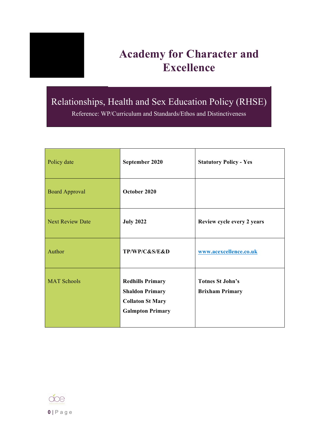

# **Academy for Character and Excellence**

# Relationships, Health and Sex Education Policy (RHSE)

Reference: WP/Curriculum and Standards/Ethos and Distinctiveness

| Policy date             | September 2020                                                                                          | <b>Statutory Policy - Yes</b>                     |
|-------------------------|---------------------------------------------------------------------------------------------------------|---------------------------------------------------|
| <b>Board Approval</b>   | October 2020                                                                                            |                                                   |
| <b>Next Review Date</b> | <b>July 2022</b>                                                                                        | Review cycle every 2 years                        |
| Author                  | TP/WP/C&S/E&D                                                                                           | www.acexcellence.co.uk                            |
| <b>MAT Schools</b>      | <b>Redhills Primary</b><br><b>Shaldon Primary</b><br><b>Collaton St Mary</b><br><b>Galmpton Primary</b> | <b>Totnes St John's</b><br><b>Brixham Primary</b> |

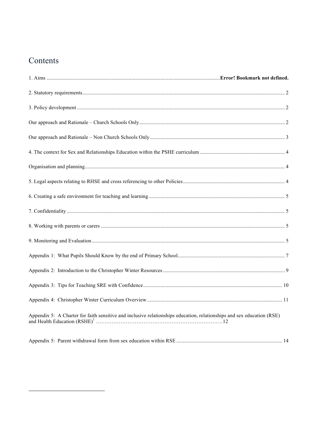# <span id="page-1-0"></span>Contents

<span id="page-1-1"></span>

| Appendix 5: A Charter for faith sensitive and inclusive relationships education, relationships and sex education (RSE) |  |
|------------------------------------------------------------------------------------------------------------------------|--|

<span id="page-1-2"></span>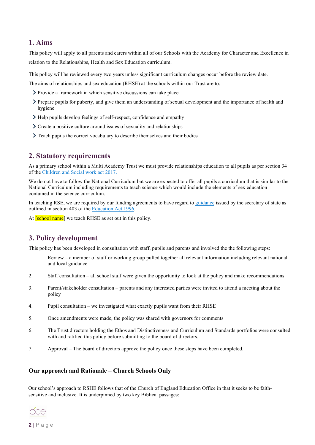#### **1. Aims**

This policy will apply to all parents and carers within all of our Schools with the Academy for Character and Excellence in relation to the Relationships, Health and Sex Education curriculum.

This policy will be reviewed every two years unless significant curriculum changes occur before the review date.

The aims of relationships and sex education (RHSE) at the schools within our Trust are to:

- Provide a framework in which sensitive discussions can take place
- Prepare pupils for puberty, and give them an understanding of sexual development and the importance of health and hygiene
- $\sum$  Help pupils develop feelings of self-respect, confidence and empathy
- Create a positive culture around issues of sexuality and relationships
- $\sum$  Teach pupils the correct vocabulary to describe themselves and their bodies

#### <span id="page-2-0"></span>**2. Statutory requirements**

As a primary school within a Multi Academy Trust we must provide relationships education to all pupils as per section 34 of the [Children and Social work act 2017.](http://www.legislation.gov.uk/ukpga/2017/16/section/34/enacted)

We do not have to follow the National Curriculum but we are expected to offer all pupils a curriculum that is similar to the National Curriculum including requirements to teach science which would include the elements of sex education contained in the science curriculum.

In teaching RSE, we are required by our funding agreements to have regard to [guidance](https://www.gov.uk/government/consultations/relationships-and-sex-education-and-health-education) issued by the secretary of state as outlined in section 403 of the [Education Act 1996.](http://www.legislation.gov.uk/ukpga/1996/56/contents)

At **[school name**] we teach RHSE as set out in this policy.

## <span id="page-2-1"></span>**3. Policy development**

This policy has been developed in consultation with staff, pupils and parents and involved the the following steps:

- 1. Review a member of staff or working group pulled together all relevant information including relevant national and local guidance
- 2. Staff consultation all school staff were given the opportunity to look at the policy and make recommendations
- 3. Parent/stakeholder consultation parents and any interested parties were invited to attend a meeting about the policy
- 4. Pupil consultation we investigated what exactly pupils want from their RHSE
- 5. Once amendments were made, the policy was shared with governors for comments
- 6. The Trust directors holding the Ethos and Distinctiveness and Curriculum and Standards portfolios were consulted with and ratified this policy before submitting to the board of directors.
- 7. Approval The board of directors approve the policy once these steps have been completed.

#### <span id="page-2-2"></span>**Our approach and Rationale – Church Schools Only**

Our school's approach to RSHE follows that of the Church of England Education Office in that it seeks to be faithsensitive and inclusive. It is underpinned by two key Biblical passages:

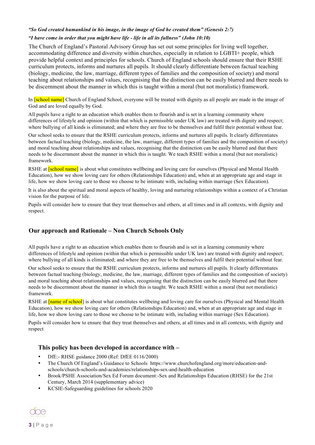#### *"So God created humankind in his image, in the image of God he created them" (Genesis 2:7) "I have come in order that you might have life - life in all its fullness" (John 10:10)*

The Church of England's Pastoral Advisory Group has set out some principles for living well together, accommodating difference and diversity within churches, especially in relation to LGBTI+ people, which provide helpful context and principles for schools. Church of England schools should ensure that their RSHE curriculum protects, informs and nurtures all pupils. It should clearly differentiate between factual teaching (biology, medicine, the law, marriage, different types of families and the composition of society) and moral teaching about relationships and values, recognising that the distinction can be easily blurred and there needs to be discernment about the manner in which this is taught within a moral (but not moralistic) framework.

In **[school name]** Church of England School, everyone will be treated with dignity as all people are made in the image of God and are loved equally by God.

All pupils have a right to an education which enables them to flourish and is set in a learning community where differences of lifestyle and opinion (within that which is permissible under UK law) are treated with dignity and respect; where bullying of all kinds is eliminated; and where they are free to be themselves and fulfil their potential without fear.

Our school seeks to ensure that the RSHE curriculum protects, informs and nurtures all pupils. It clearly differentiates between factual teaching (biology, medicine, the law, marriage, different types of families and the composition of society) and moral teaching about relationships and values, recognising that the distinction can be easily blurred and that there needs to be discernment about the manner in which this is taught. We teach RSHE within a moral (but not moralistic) framework.

RSHE at **[school name]** is about what constitutes wellbeing and loving care for ourselves (Physical and Mental Health Education), how we show loving care for others (Relationships Education) and, when at an appropriate age and stage in life, how we show loving care to those we choose to be intimate with, including within marriage (Sex Education).

It is also about the spiritual and moral aspects of healthy, loving and nurturing relationships within a context of a Christian vision for the purpose of life.

Pupils will consider how to ensure that they treat themselves and others, at all times and in all contexts, with dignity and respect.

#### <span id="page-3-0"></span>**Our approach and Rationale – Non Church Schools Only**

All pupils have a right to an education which enables them to flourish and is set in a learning community where differences of lifestyle and opinion (within that which is permissible under UK law) are treated with dignity and respect; where bullying of all kinds is eliminated; and where they are free to be themselves and fulfil their potential without fear.

Our school seeks to ensure that the RSHE curriculum protects, informs and nurtures all pupils. It clearly differentiates between factual teaching (biology, medicine, the law, marriage, different types of families and the composition of society) and moral teaching about relationships and values, recognising that the distinction can be easily blurred and that there needs to be discernment about the manner in which this is taught. We teach RSHE within a moral (but not moralistic) framework.

RSHE at **[name of school**] is about what constitutes wellbeing and loving care for ourselves (Physical and Mental Health Education), how we show loving care for others (Relationships Education) and, when at an appropriate age and stage in life, how we show loving care to those we choose to be intimate with, including within marriage (Sex Education).

Pupils will consider how to ensure that they treat themselves and others, at all times and in all contexts, with dignity and respect

#### **This policy has been developed in accordance with –**

- DfE:- RHSE guidance 2000 (Ref: DfEE 0116/2000)
- The Church Of England's Guidance to Schools https://www.churchofengland.org/more/education-andschools/church-schools-and-academies/relationships-sex-and-health-education
- Brook/PSHE Association/Sex Ed Forum document:-Sex and Relationships Education (RHSE) for the 21st Century, March 2014 (supplementary advice)
- KCSIE-Safeguarding guidelines for schools 2020

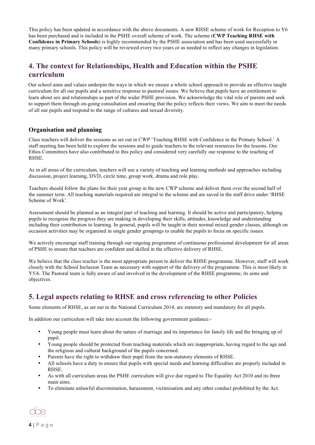This policy has been updated in accordance with the above documents. A new RHSE scheme of work for Reception to Y6 has been purchased and is included in the PSHE overall scheme of work. The scheme (**CWP Teaching RHSE with Confidence in Primary Schools**) is highly recommended by the PSHE association and has been used successfully in many primary schools. This policy will be reviewed every two years or as needed to reflect any changes in legislation.

# <span id="page-4-0"></span>**4. The context for Relationships, Health and Education within the PSHE curriculum**

Our school aims and values underpin the ways in which we ensure a whole school approach to provide an effective taught curriculum for all our pupils and a sensitive response to pastoral issues. We believe that pupils have an entitlement to learn about sex and relationships as part of the wider PSHE provision. We acknowledge the vital role of parents and seek to support them through on-going consultation and ensuring that the policy reflects their views. We aim to meet the needs of all our pupils and respond to the range of cultures and sexual diversity.

#### <span id="page-4-1"></span>**Organisation and planning**

Class teachers will deliver the sessions as set out in CWP 'Teaching RHSE with Confidence in the Primary School.' A staff meeting has been held to explore the sessions and to guide teachers to the relevant resources for the lessons. Our Ethos Committees have also contributed to this policy and considered very carefully our response to the teaching of RHSE.

As in all areas of the curriculum, teachers will use a variety of teaching and learning methods and approaches including discussion, project learning, DVD, circle time, group work, drama and role play.

Teachers should follow the plans for their year group in the new CWP scheme and deliver them over the second half of the summer term. All teaching materials required are integral to the scheme and are saved in the staff drive under 'RHSE Scheme of Work'.

Assessment should be planned as an integral part of teaching and learning. It should be active and participatory, helping pupils to recognise the progress they are making in developing their skills, attitudes, knowledge and understanding including their contribution to learning. In general, pupils will be taught in their normal mixed gender classes, although on occasion activities may be organised in single gender groupings to enable the pupils to focus on specific issues.

We actively encourage staff training through our ongoing programme of continuous professional development for all areas of PSHE to ensure that teachers are confident and skilled in the effective delivery of RHSE.

We believe that the class teacher is the most appropriate person to deliver the RHSE programme. However, staff will work closely with the School Inclusion Team as necessary with support of the delivery of the programme. This is most likely in Y5/6. The Pastoral team is fully aware of and involved in the development of the RHSE programme, its aims and objectives.

## <span id="page-4-2"></span>**5. Legal aspects relating to RHSE and cross referencing to other Policies**

Some elements of RHSE, as set out in the National Curriculum 2014, are statutory and mandatory for all pupils.

In addition our curriculum will take into account the following government guidance:-

- Young people must learn about the nature of marriage and its importance for family life and the bringing up of pupil.
- Young people should be protected from teaching materials which are inappropriate, having regard to the age and the religious and cultural background of the pupils concerned.
- Parents have the right to withdraw their pupil from the non-statutory elements of RHSE.
- All schools have a duty to ensure that pupils with special needs and learning difficulties are properly included in RHSE.
- As with all curriculum areas the PSHE curriculum will give due regard to The Equality Act 2010 and its three main aims.
- To eliminate unlawful discrimination, harassment, victimisation and any other conduct prohibited by the Act.

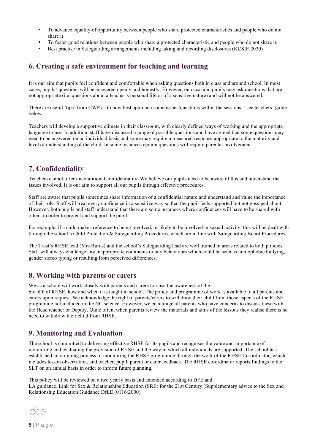- To advance equality of opportunity between people who share protected characteristics and people who do not share it
- To foster good relations between people who share a protected characteristic and people who do not share it.
- Best practise in Safeguarding arrangements including taking and recording disclosures (KCSIE 2020)

## <span id="page-5-0"></span>**6. Creating a safe environment for teaching and learning**

It is our aim that pupils feel confident and comfortable when asking questions both in class and around school. In most cases, pupils' questions will be answered openly and honestly. However, on occasion, pupils may ask questions that are not appropriate (i.e. questions about a teacher's personal life or of a sensitive nature) and will not be answered.

There are useful 'tips' from CWP as to how best approach some issues/questions within the sessions – see teachers' guide below.

Teachers will develop a supportive climate in their classroom, with clearly defined ways of working and the appropriate language to use. In addition, staff have discussed a range of possible questions and have agreed that some questions may need to be answered on an individual basis and some may require a measured response appropriate to the maturity and level of understanding of the child. In some instances certain questions will require parental involvement.

### <span id="page-5-1"></span>**7. Confidentiality**

Teachers cannot offer unconditional confidentiality. We believe our pupils need to be aware of this and understand the issues involved. It is our aim to support all our pupils through effective procedures.

Staff are aware that pupils sometimes share information of a confidential nature and understand and value the importance of their role. Staff will treat every confidence in a sensitive way so that the pupil feels supported but not gossiped about. However, both pupils and staff understand that there are some instances where confidences will have to be shared with others in order to protect and support the pupil.

For example, if a child makes reference to being involved, or likely to be involved in sexual activity, this will be dealt with through the school's Child Protection & Safeguarding Procedures, which are in line with Safeguarding Board Procedures.

The Trust's RHSE lead (Mrs Burns) and the school's Safeguarding lead are well trained in areas related to both policies. Staff will always challenge any inappropriate comments or any behaviours which could be seen as homophobic bullying, gender stereo typing or resulting from perceived differences.

### <span id="page-5-2"></span>**8. Working with parents or carers**

We as a school will work closely with parents and carers to raise the awareness of the

breadth of RHSE, how and when it is taught in school. The policy and programme of work is available to all parents and carers upon request. We acknowledge the right of parents/carers to withdraw their child from those aspects of the RHSE programme not included in the NC science. However, we encourage all parents who have concerns to discuss these with the Head teacher or Deputy. Quite often, when parents review the materials and aims of the lessons they realise there is no need to withdraw their child from RHSE.

## <span id="page-5-3"></span>**9. Monitoring and Evaluation**

The school is committed to delivering effective RHSE for its pupils and recognises the value and importance of monitoring and evaluating the provision of RHSE and the way in which all individuals are supported. The school has established an on-going process of monitoring the RHSE programme through the work of the RHSE Co-ordinator, which includes lesson observation, and teacher, pupil, parent or carer feedback. The RHSE co-ordinator reports findings to the SLT on an annual basis in order to inform future planning.

This policy will be reviewed on a two yearly basis and amended according to DFE and LA guidance. Link for Sex & Relationships Education (SRE) for the 21st Century (Supplementary advice to the Sex and Relationship Education Guidance DfEE (0116/2000)

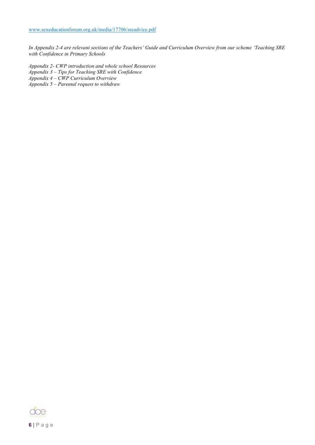*In Appendix 2-4 are relevant sections of the Teachers' Guide and Curriculum Overview from our scheme 'Teaching SRE with Confidence in Primary Schools*

- *Appendix 2- CWP introduction and whole school Resources*
- *Appendix 3 – Tips for Teaching SRE with Confidence*
- *Appendix 4 – CWP Curriculum Overview*
- *Appendix 5 – Parental request to withdraw*

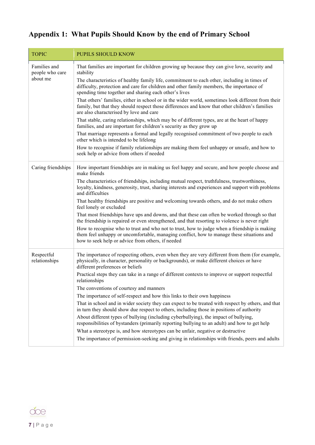# <span id="page-7-0"></span>**Appendix 1: What Pupils Should Know by the end of Primary School**

| <b>TOPIC</b>                    | <b>PUPILS SHOULD KNOW</b>                                                                                                                                                                                                                        |
|---------------------------------|--------------------------------------------------------------------------------------------------------------------------------------------------------------------------------------------------------------------------------------------------|
| Families and<br>people who care | That families are important for children growing up because they can give love, security and<br>stability                                                                                                                                        |
| about me                        | The characteristics of healthy family life, commitment to each other, including in times of<br>difficulty, protection and care for children and other family members, the importance of<br>spending time together and sharing each other's lives |
|                                 | That others' families, either in school or in the wider world, sometimes look different from their<br>family, but that they should respect those differences and know that other children's families<br>are also characterised by love and care  |
|                                 | That stable, caring relationships, which may be of different types, are at the heart of happy<br>families, and are important for children's security as they grow up                                                                             |
|                                 | That marriage represents a formal and legally recognised commitment of two people to each<br>other which is intended to be lifelong                                                                                                              |
|                                 | How to recognise if family relationships are making them feel unhappy or unsafe, and how to<br>seek help or advice from others if needed                                                                                                         |
| Caring friendships              | How important friendships are in making us feel happy and secure, and how people choose and<br>make friends                                                                                                                                      |
|                                 | The characteristics of friendships, including mutual respect, truthfulness, trustworthiness,<br>loyalty, kindness, generosity, trust, sharing interests and experiences and support with problems<br>and difficulties                            |
|                                 | That healthy friendships are positive and welcoming towards others, and do not make others<br>feel lonely or excluded                                                                                                                            |
|                                 | That most friendships have ups and downs, and that these can often be worked through so that<br>the friendship is repaired or even strengthened, and that resorting to violence is never right                                                   |
|                                 | How to recognise who to trust and who not to trust, how to judge when a friendship is making<br>them feel unhappy or uncomfortable, managing conflict, how to manage these situations and<br>how to seek help or advice from others, if needed   |
| Respectful<br>relationships     | The importance of respecting others, even when they are very different from them (for example,<br>physically, in character, personality or backgrounds), or make different choices or have<br>different preferences or beliefs                   |
|                                 | Practical steps they can take in a range of different contexts to improve or support respectful<br>relationships                                                                                                                                 |
|                                 | The conventions of courtesy and manners                                                                                                                                                                                                          |
|                                 | The importance of self-respect and how this links to their own happiness                                                                                                                                                                         |
|                                 | That in school and in wider society they can expect to be treated with respect by others, and that<br>in turn they should show due respect to others, including those in positions of authority                                                  |
|                                 | About different types of bullying (including cyberbullying), the impact of bullying,<br>responsibilities of bystanders (primarily reporting bullying to an adult) and how to get help                                                            |
|                                 | What a stereotype is, and how stereotypes can be unfair, negative or destructive                                                                                                                                                                 |
|                                 | The importance of permission-seeking and giving in relationships with friends, peers and adults                                                                                                                                                  |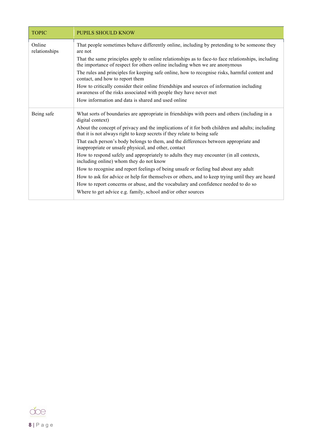| <b>TOPIC</b>            | <b>PUPILS SHOULD KNOW</b>                                                                                                                                                         |  |  |
|-------------------------|-----------------------------------------------------------------------------------------------------------------------------------------------------------------------------------|--|--|
| Online<br>relationships | That people sometimes behave differently online, including by pretending to be someone they<br>are not                                                                            |  |  |
|                         | That the same principles apply to online relationships as to face-to face relationships, including<br>the importance of respect for others online including when we are anonymous |  |  |
|                         | The rules and principles for keeping safe online, how to recognise risks, harmful content and<br>contact, and how to report them                                                  |  |  |
|                         | How to critically consider their online friendships and sources of information including<br>awareness of the risks associated with people they have never met                     |  |  |
|                         | How information and data is shared and used online                                                                                                                                |  |  |
| Being safe              | What sorts of boundaries are appropriate in friendships with peers and others (including in a<br>digital context)                                                                 |  |  |
|                         | About the concept of privacy and the implications of it for both children and adults; including<br>that it is not always right to keep secrets if they relate to being safe       |  |  |
|                         | That each person's body belongs to them, and the differences between appropriate and<br>inappropriate or unsafe physical, and other, contact                                      |  |  |
|                         | How to respond safely and appropriately to adults they may encounter (in all contexts,<br>including online) whom they do not know                                                 |  |  |
|                         | How to recognise and report feelings of being unsafe or feeling bad about any adult                                                                                               |  |  |
|                         | How to ask for advice or help for themselves or others, and to keep trying until they are heard                                                                                   |  |  |
|                         | How to report concerns or abuse, and the vocabulary and confidence needed to do so                                                                                                |  |  |
|                         | Where to get advice e.g. family, school and/or other sources                                                                                                                      |  |  |

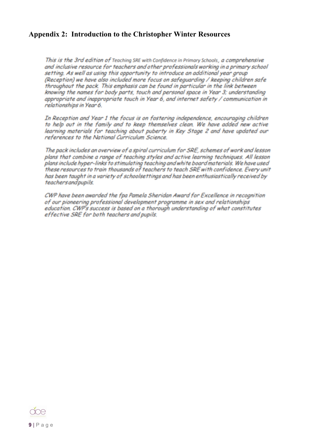### <span id="page-9-0"></span>**Appendix 2: Introduction to the Christopher Winter Resources**

This is the 3rd edition of Teaching SRE with Confidence in Primary Schools, a comprehensive and inclusive resource for teachers and other professionals working in a primary school setting. As well as using this opportunity to introduce an additional year group (Reception) we have also included more focus on safeauardina / keeping children safe throughout the pack. This emphasis can be found in particular in the link between knowing the names for body parts, touch and personal space in Year 3; understanding appropriate and inappropriate touch in Year 6, and internet safety / communication in relationships in Year 6.

In Reception and Year 1 the focus is on fostering independence, encouraging children to help out in the family and to keep themselves clean. We have added new active learning materials for teaching about puberty in Key Stage 2 and have updated our references to the National Curriculum Science.

The pack includes an overview of a spiral curriculum for SRE, schemes of work and lesson plans that combine a range of teaching styles and active learning techniques. All lesson plans include hyper-links to stimulating teaching and white board materials. We have used these resources to train thousands of teachers to teach SRE with confidence. Every unit has been taught in a variety of schoolsettings and has been enthusiastically received by teachers and pupils.

CWP have been awarded the fpa Pamela Sheridan Award for Excellence in recognition of our pioneering professional development programme in sex and relationships education. CWP's success is based on a thorough understanding of what constitutes effective SRE for both teachers and pupils.

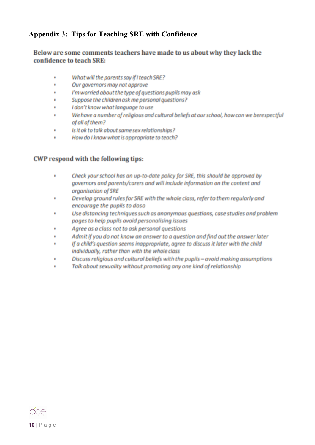# <span id="page-10-0"></span>**Appendix 3: Tips for Teaching SRE with Confidence**

### Below are some comments teachers have made to us about why they lack the confidence to teach SRE:

- What will the parents say if I teach SRE?
- Our governors may not approve
- I'm worried about the type of questions pupils may ask ٠
- Suppose the children ask me personal questions? ٠
- I don't know what language to use ×
- We have a number of religious and cultural beliefs at our school, how can we berespectful of all of them?
- Is it ok to talk about same sex relationships? ×
- How do I know what is appropriate to teach? ×

#### **CWP respond with the following tips:**

- ٠ Check your school has an up-to-date policy for SRE, this should be approved by governors and parents/carers and will include information on the content and organisation of SRE
- Develop ground rules for SRE with the whole class, refer to them regularly and  $\blacksquare$ encourage the pupils to doso
- Use distancing techniques such as anonymous questions, case studies and problem ٠ pages to help pupils avoid personalising issues
- Agree as a class not to ask personal questions
- Admit if you do not know an answer to a question and find out the answer later ٠
- If a child's question seems inappropriate, agree to discuss it later with the child  $\blacksquare$ individually, rather than with the whole class
- Discuss religious and cultural beliefs with the pupils avoid making assumptions
- Talk about sexuality without promoting any one kind of relationship ٠

<span id="page-10-1"></span>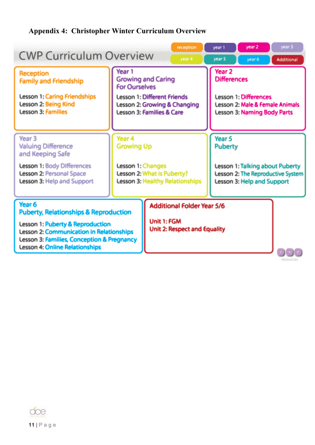# **Appendix 4: Christopher Winter Curriculum Overview**

|                                                                                                                                                                                                                         |                                                                                                            |                                             | reception                                                                                                        | year 1 | year 2                            | year 3                                                               |
|-------------------------------------------------------------------------------------------------------------------------------------------------------------------------------------------------------------------------|------------------------------------------------------------------------------------------------------------|---------------------------------------------|------------------------------------------------------------------------------------------------------------------|--------|-----------------------------------|----------------------------------------------------------------------|
| <b>CWP Curriculum Overview</b>                                                                                                                                                                                          |                                                                                                            |                                             | year 4                                                                                                           | year 5 | year 6                            | Additional                                                           |
| <b>Reception</b><br><b>Family and Friendship</b><br><b>Lesson 1: Caring Friendships</b>                                                                                                                                 | Year <sub>1</sub><br><b>Growing and Caring</b><br><b>For Ourselves</b>                                     |                                             | Year <sub>2</sub><br><b>Differences</b>                                                                          |        |                                   |                                                                      |
| <b>Lesson 2: Being Kind</b><br><b>Lesson 3: Families</b>                                                                                                                                                                | <b>Lesson 1: Different Friends</b><br>Lesson 2: Growing & Changing<br><b>Lesson 3: Families &amp; Care</b> |                                             | <b>Lesson 1: Differences</b><br><b>Lesson 2: Male &amp; Female Animals</b><br><b>Lesson 3: Naming Body Parts</b> |        |                                   |                                                                      |
| Year <sub>3</sub><br><b>Valuing Difference</b><br>and Keeping Safe                                                                                                                                                      | Year 4<br><b>Growing Up</b>                                                                                |                                             | Year 5<br><b>Puberty</b>                                                                                         |        |                                   |                                                                      |
| <b>Lesson 1: Body Differences</b><br><b>Lesson 2: Personal Space</b><br>Lesson 3: Help and Support                                                                                                                      | Lesson 1: Changes<br>Lesson 2: What is Puberty?<br><b>Lesson 3: Healthy Relationships</b>                  |                                             |                                                                                                                  |        | <b>Lesson 3: Help and Support</b> | Lesson 1: Talking about Puberty<br>Lesson 2: The Reproductive System |
| Year <sub>6</sub>                                                                                                                                                                                                       |                                                                                                            | <b>Additional Folder Year 5/6</b>           |                                                                                                                  |        |                                   |                                                                      |
| <b>Puberty, Relationships &amp; Reproduction</b><br>Lesson 1: Puberty & Reproduction<br>Lesson 2: Communication in Relationships<br>Lesson 3: Families, Conception & Pregnancy<br><b>Lesson 4: Online Relationships</b> |                                                                                                            | Unit 1: FGM<br>Unit 2: Respect and Equality |                                                                                                                  |        |                                   |                                                                      |
|                                                                                                                                                                                                                         |                                                                                                            |                                             |                                                                                                                  |        |                                   | resources                                                            |

<span id="page-11-0"></span>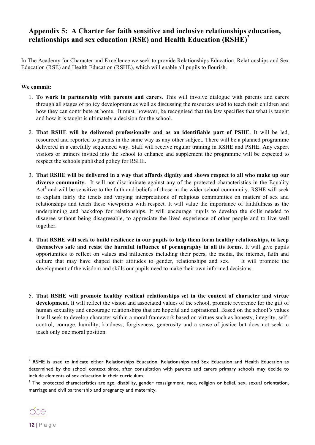# **Appendix 5: A Charter for faith sensitive and inclusive relationships education, relationships and sex education (RSE) and Health Education (RSHE)<sup>2</sup>**

In The Academy for Character and Excellence we seek to provide Relationships Education, Relationships and Sex Education (RSE) and Health Education (RSHE), which will enable all pupils to flourish.

#### **We commit:**

- 1. **To work in partnership with parents and carers**. This will involve dialogue with parents and carers through all stages of policy development as well as discussing the resources used to teach their children and how they can contribute at home. It must, however, be recognised that the law specifies that what is taught and how it is taught is ultimately a decision for the school.
- 2. **That RSHE will be delivered professionally and as an identifiable part of PSHE**. It will be led, resourced and reported to parents in the same way as any other subject. There will be a planned programme delivered in a carefully sequenced way. Staff will receive regular training in RSHE and PSHE. Any expert visitors or trainers invited into the school to enhance and supplement the programme will be expected to respect the schools published policy for RSHE.
- 3. **That RSHE will be delivered in a way that affords dignity and shows respect to all who make up our diverse community.** It will not discriminate against any of the protected characteristics in the Equality Act<sup>3</sup> and will be sensitive to the faith and beliefs of those in the wider school community. RSHE will seek to explain fairly the tenets and varying interpretations of religious communities on matters of sex and relationships and teach these viewpoints with respect. It will value the importance of faithfulness as the underpinning and backdrop for relationships. It will encourage pupils to develop the skills needed to disagree without being disagreeable, to appreciate the lived experience of other people and to live well together.
- 4. **That RSHE will seek to build resilience in our pupils to help them form healthy relationships, to keep themselves safe and resist the harmful influence of pornography in all its forms**. It will give pupils opportunities to reflect on values and influences including their peers, the media, the internet, faith and culture that may have shaped their attitudes to gender, relationships and sex. It will promote the development of the wisdom and skills our pupils need to make their own informed decisions.
- 5. **That RSHE will promote healthy resilient relationships set in the context of character and virtue development**. It will reflect the vision and associated values of the school, promote reverence for the gift of human sexuality and encourage relationships that are hopeful and aspirational. Based on the school's values it will seek to develop character within a moral framework based on virtues such as honesty, integrity, selfcontrol, courage, humility, kindness, forgiveness, generosity and a sense of justice but does not seek to teach only one moral position.

<sup>&</sup>lt;sup>3</sup> The protected characteristics are age, disability, gender reassignment, race, religion or belief, sex, sexual orientation, marriage and civil partnership and pregnancy and maternity.



l

 $2$  RSHE is used to indicate either Relationships Education, Relationships and Sex Education and Health Education as determined by the school context since, after consultation with parents and carers primary schools may decide to include elements of sex education in their curriculum.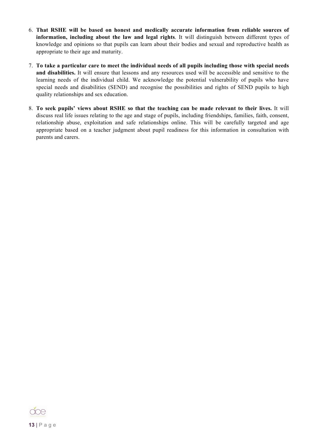- 6. **That RSHE will be based on honest and medically accurate information from reliable sources of information, including about the law and legal rights**. It will distinguish between different types of knowledge and opinions so that pupils can learn about their bodies and sexual and reproductive health as appropriate to their age and maturity.
- 7. **To take a particular care to meet the individual needs of all pupils including those with special needs and disabilities.** It will ensure that lessons and any resources used will be accessible and sensitive to the learning needs of the individual child. We acknowledge the potential vulnerability of pupils who have special needs and disabilities (SEND) and recognise the possibilities and rights of SEND pupils to high quality relationships and sex education.
- 8. **To seek pupils' views about RSHE so that the teaching can be made relevant to their lives.** It will discuss real life issues relating to the age and stage of pupils, including friendships, families, faith, consent, relationship abuse, exploitation and safe relationships online. This will be carefully targeted and age appropriate based on a teacher judgment about pupil readiness for this information in consultation with parents and carers.